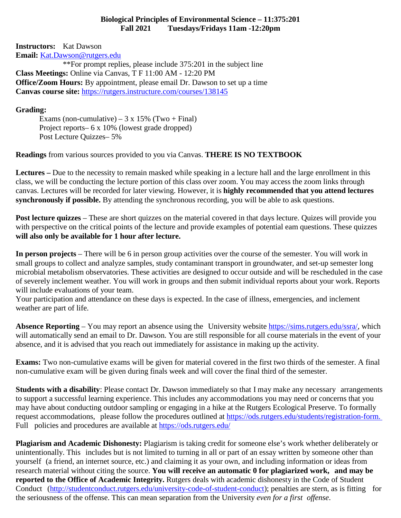## **Biological Principles of Environmental Science – 11:375:201 Fall 2021 Tuesdays/Fridays 11am -12:20pm**

**Instructors:** Kat Dawson **Email:** [Kat.Dawson@rutgers.edu](mailto:Kat.Dawson@rutgers.edu)

\*\*For prompt replies, please include 375:201 in the subject line **Class Meetings:** Online via Canvas, T F 11:00 AM - 12:20 PM **Office/Zoom Hours:** By appointment, please email Dr. Dawson to set up a time **Canvas course site:** <https://rutgers.instructure.com/courses/138145>

## **Grading:**

Exams (non-cumulative) –  $3 \times 15\%$  (Two + Final) Project reports– 6 x 10% (lowest grade dropped) Post Lecture Quizzes– 5%

**Readings** from various sources provided to you via Canvas. **THERE IS NO TEXTBOOK**

**Lectures –** Due to the necessity to remain masked while speaking in a lecture hall and the large enrollment in this class, we will be conducting the lecture portion of this class over zoom. You may access the zoom links through canvas. Lectures will be recorded for later viewing. However, it is **highly recommended that you attend lectures synchronously if possible.** By attending the synchronous recording, you will be able to ask questions.

**Post lecture quizzes** – These are short quizzes on the material covered in that days lecture. Quizes will provide you with perspective on the critical points of the lecture and provide examples of potential eam questions. These quizzes **will also only be available for 1 hour after lecture.**

**In person projects** – There will be 6 in person group activities over the course of the semester. You will work in small groups to collect and analyze samples, study contaminant transport in groundwater, and set-up semester long microbial metabolism observatories. These activities are designed to occur outside and will be rescheduled in the case of severely inclement weather. You will work in groups and then submit individual reports about your work. Reports will include evaluations of your team.

Your participation and attendance on these days is expected. In the case of illness, emergencies, and inclement weather are part of life.

**Absence Reporting** – You may report an absence using the University website [https://sims.rutgers.edu/ssra/,](https://sims.rutgers.edu/ssra/) which will automatically send an email to Dr. Dawson. You are still responsible for all course materials in the event of your absence, and it is advised that you reach out immediately for assistance in making up the activity.

**Exams:** Two non-cumulative exams will be given for material covered in the first two thirds of the semester. A final non-cumulative exam will be given during finals week and will cover the final third of the semester.

**Students with a disability**: Please contact Dr. Dawson immediately so that I may make any necessary arrangements to support a successful learning experience. This includes any accommodations you may need or concerns that you may have about conducting outdoor sampling or engaging in a hike at the Rutgers Ecological Preserve. To formally request accommodations, please follow the procedures outlined at [https://ods.rutgers.edu/students/registration-form.](https://ods.rutgers.edu/students/registration-form) Full policies and procedures are available at <https://ods.rutgers.edu/>

**Plagiarism and Academic Dishonesty:** Plagiarism is taking credit for someone else's work whether deliberately or unintentionally. This includes but is not limited to turning in all or part of an essay written by someone other than yourself (a friend, an internet source, etc.) and claiming it as your own, and including information or ideas from research material without citing the source. **You will receive an automatic 0 for plagiarized work, and may be reported to the Office of Academic Integrity.** Rutgers deals with academic dishonesty in the Code of Student Conduct [\(http://studentconduct.rutgers.edu/university-code-of-student-conduct\)](http://studentconduct.rutgers.edu/university-code-of-student-conduct); penalties are stern, as is fitting for the seriousness of the offense. This can mean separation from the University *even for a first offense*.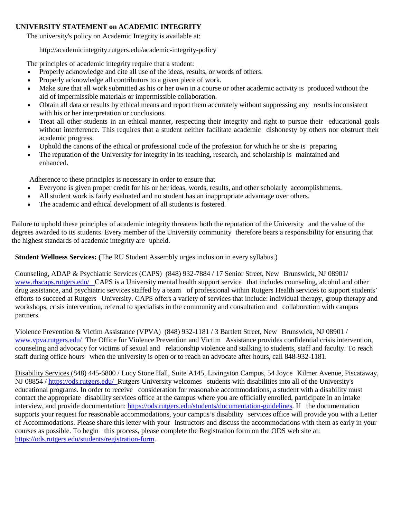## **UNIVERSITY STATEMENT on ACADEMIC INTEGRITY**

The university's policy on Academic Integrity is available at:

<http://academicintegrity.rutgers.edu/academic-integrity-policy>

The principles of academic integrity require that a student:

- Properly acknowledge and cite all use of the ideas, results, or words of others.
- Properly acknowledge all contributors to a given piece of work.
- Make sure that all work submitted as his or her own in a course or other academic activity is produced without the aid of impermissible materials or impermissible collaboration.
- Obtain all data or results by ethical means and report them accurately without suppressing any results inconsistent with his or her interpretation or conclusions.
- Treat all other students in an ethical manner, respecting their integrity and right to pursue their educational goals without interference. This requires that a student neither facilitate academic dishonesty by others nor obstruct their academic progress.
- Uphold the canons of the ethical or professional code of the profession for which he or she is preparing
- The reputation of the University for integrity in its teaching, research, and scholarship is maintained and enhanced.

Adherence to these principles is necessary in order to ensure that

- Everyone is given proper credit for his or her ideas, words, results, and other scholarly accomplishments.
- All student work is fairly evaluated and no student has an inappropriate advantage over others.
- The academic and ethical development of all students is fostered.

Failure to uphold these principles of academic integrity threatens both the reputation of the University and the value of the degrees awarded to its students. Every member of the University community therefore bears a responsibility for ensuring that the highest standards of academic integrity are upheld.

**Student Wellness Services: (**The RU Student Assembly urges inclusion in every syllabus.)

Counseling, ADAP & Psychiatric Services (CAPS) (848) 932-7884 / 17 Senior Street, New Brunswick, NJ 08901/ [www.rhscaps.rutgers.edu/ C](http://www.rhscaps.rutgers.edu/)APS is a University mental health support service that includes counseling, alcohol and other drug assistance, and psychiatric services staffed by a team of professional within Rutgers Health services to support students' efforts to succeed at Rutgers University. CAPS offers a variety of services that include: individual therapy, group therapy and workshops, crisis intervention, referral to specialists in the community and consultation and collaboration with campus partners.

Violence Prevention & Victim Assistance (VPVA) (848) 932-1181 / 3 Bartlett Street, New Brunswick, NJ 08901 / [www.vpva.rutgers.edu/ T](http://www.vpva.rutgers.edu/)he Office for Violence Prevention and Victim Assistance provides confidential crisis intervention, counseling and advocacy for victims of sexual and relationship violence and stalking to students, staff and faculty. To reach staff during office hours when the university is open or to reach an advocate after hours, call 848-932-1181.

Disability Services (848) 445-6800 / Lucy Stone Hall, Suite A145, Livingston Campus, 54 Joyce Kilmer Avenue, Piscataway, NJ 08854 /<https://ods.rutgers.edu/> Rutgers University welcomes students with disabilities into all of the University's educational programs. In order to receive consideration for reasonable accommodations, a student with a disability must contact the appropriate disability services office at the campus where you are officially enrolled, participate in an intake interview, and provide documentation: [https://ods.rutgers.edu/students/documentation-guidelines.](https://ods.rutgers.edu/students/documentation-guidelines) If the documentation supports your request for reasonable accommodations, your campus's disability services office will provide you with a Letter of Accommodations. Please share this letter with your instructors and discuss the accommodations with them as early in your courses as possible. To begin this process, please complete the Registration form on the ODS web site at: [https://ods.rutgers.edu/students/registration-form.](https://ods.rutgers.edu/students/registration-form)